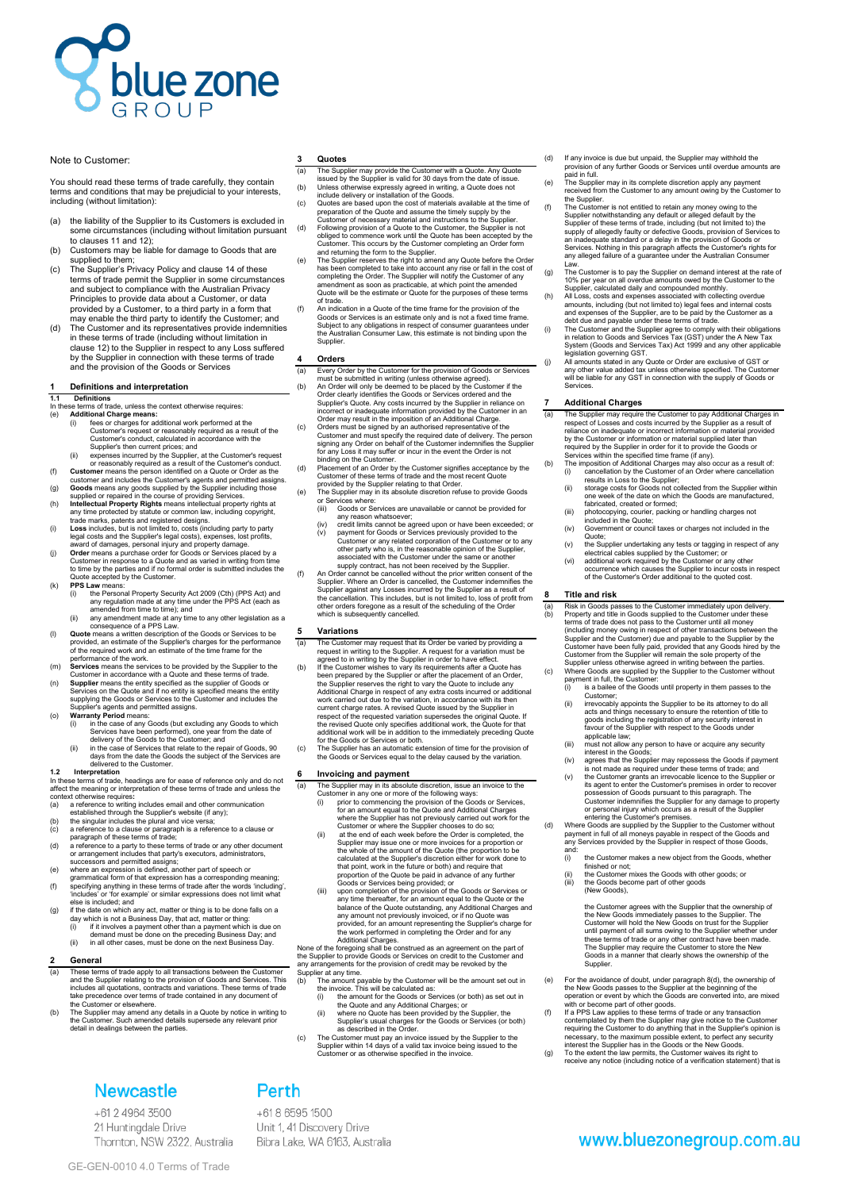

## Note to Customer:

You should read these terms of trade carefully, they contain terms and conditions that may be prejudicial to your interests, including (without limitation):

- (a) the liability of the Supplier to its Customers is excluded in some circumstances (including without limitation pursuant to clauses 11 and 12 $\overrightarrow{r}$
- (b) Customers may be liable for damage to Goods that are supplied to them;
- (c) The Supplier's Privacy Policy and clause 14 of these terms of trade permit the Supplier in some circumstances and subject to compliance with the Australian Privacy Principles to provide data about a Customer, or data provided by a Customer, to a third party in a form that may enable the third party to identify the Customer; and
- (d) The Customer and its representatives provide indemnities in these terms of trade (including without limitation in clause 12) to the Supplier in respect to any Loss suffered by the Supplier in connection with these terms of trade and the provision of the Goods or Services

#### **1 Definitions and interpretation**

**1.1 Definitions**

- In these terms of trade, unless the context otherwise requires:<br>
(e) **Additional Charge means:**<br>
(i) fees or charges means:<br>
(i) fees or charges for additional work performed at the Customer's request or reasonably require
	-
- 
- 
- 
- 
- award of damages, personal injury and property damage. (j) **Order** means a purchase order for Goods or Services placed by a Customer in response to a Quote and as varied in writing from time to time by the parties and if no formal order is submitted includes the
- Quote accepted by the Customer.
	-
- (k) **PPS Law** means:<br>
(i) the Personal Property Security Act 2009 (Cth) (PPS Act) and<br>
any regulation made at any time under the PPS Act (each as<br>
amended from time to time); and<br>
any amendment made at any time to any oth
- (m) **Services** means the services to be provided by the Supplier to the Customer in accordance with a Quote and these terms of trade. (n) **Supplier** means the entity specified as the supplier of Goods or
- Services on the Quote and if no entity is specified means the entity supplying the Goods or Services to the Customer and includes the Supplier's agents and permitted assigns.
- (o) Warranty Period means:<br>
(i) in the case of any Goods (but excluding any Goods to which<br>
Services have been performed), one year from the date of<br>
delivery of the Goods to the Customer; and<br>
(ii) in the case of Services
	- days from the date the Goods the subject of the Services are delivered to the Customer.

- 1.2 Interpretation<br>In these terms of trade, headings are for ease of reference only and do not<br>in these terms of trade, headings are for ease of redered the meaning or interpretation of these terms of trade and unless the
- 
- 
- 
- 
- successors and permitted assigns; (e) where an expression is defined, another part of speech or
- grammatical form of that expression has a corresponding meaning;
- (f) specifying anything in these terms of trade after the words 'including', 'includes' or 'for example' or similar expressions does not limit what else is included; and
- (g) if the date on which any act, matter or thing is to be done falls on a<br>day which is not a Business Day, that act, matter or thing:<br>(i) if it involves a payment other than a payment which is due on<br>the preceding Busine
- 

## **2 General**

- (a) These terms of trade apply to all transactions between the Customer<br>and the Supplier relating to the provision of Goods and Services. This<br>includes all quotations, contracts and variations. These terms of trade<br>take pr the Customer or elsewhere.
- (b) The Supplier may amend any details in a Quote by notice in writing to the Customer. Such amended details supersede any relevant prior detail in dealings between the parties.

# **Newcastle**

+61 2 4964 3500 21 Huntingdale Drive Thornton, NSW 2322, Australia

### **3 Quotes**

- (a) The Supplier may provide the Customer with a Quote. Any Quote issued by the Supplier is valid for 30 days from the date of issue.
- (b) Unless otherwise expressly agreed in writing, a Quote does not<br>include delivery or installation of the Goods.<br>(c) Quotes are based upon the cost of materials available at the time of preparation of the Quote and assume the timely supply by the
- Customer of necessary material and instructions to the Supplier. (d) Following provision of a Quote to the Customer, the Supplier is not obliged to commence work until the Quote has been accepted by the customer. This occurs by the Customer completing an Order form
- and returning the form to the Supplier.<br>The Supplier reserves the right to amend any Quote before the Order<br>has been completed to take into account any rise or fall in the cost of<br>completing the Order. The Supplier will no
- of trade.<br>(f) An indication in a Quote of the time frame for the provision of the<br>Goods or Services is an estimate only and is not a fixed time frame.<br>Subject to any obligations in respect of consumer guarantees under<br>the **Supplier**

#### **4 Orders**

- (a) Every Order by the Customer for the provision of Goods or Services
- must be submitted in writing (unless otherwise agreed). (b) An Order will only be deemed to be placed by the Customer if the Order clearly identifies the Goods or Services ordered and the Supplier's Quote. Any costs incurred by the Supplier in reliance on incorrect or inadequate information provided by the Customer in an
- incorrect or inadequate information provided by the Customer in an<br>incorrect or inadequate information provided by the Customer and Colder may result in the imposition of an Additional Charge.<br>Coustomer and must specify th
- 
- 
- The suppose<br>or Services where:<br>(iii) Goods or Services are unavailable or cannot be provided for any reason whatsoever;
- (iv) credit limits cannot be agreed upon or have been exceeded; or (v) payment for Goods or Services previously provided to the Customer or any related corporation of the Customer or to any other party who is, in the reasonable opinion of the Supplier, associated with the Customer under the same or another supply contract, has not been received by the Supplier.
- (f) An Order cannot be cancelled without the prior written consent of the Supplier. Where an Order is cancelled, the Customer indemnifies the Supplier against any Losses incurred by the Supplier as a result of<br>the cancellation. This includes, but is not limited to, loss of profit from<br>other orders foregone as a result of the scheduling of the Order<br>which is subs

#### **5 Variations**

- 
- (a) The Customer may request that its Order be varied by providing a request in writing to the Supplier. A request for a variation must be agreed to in writing by the Supplier in order to have effect.<br>(b) If the Customer w the Supplier reserves the right to vary the Quote to include any Additional Charge in respect of any extra costs incurred or additional work carried out due to the variation, in accordance with its then current charge rates. A revised Quote issued by the Supplier in respect of the requested variation supersedes the original Quote. If the revised Quote only specifies additional work, the Quote for that additional work will be in addition to the immediately preceding Quote for the Goods or Services or both.
- (c) The Supplier has an automatic extension of time for the provision of the Goods or Services equal to the delay caused by the variation.

# **6 Invoicing and payment**<br>(a) The Supplier may in its absolute

- (a) The Supplier may in its absolute discretion, issue an invoice to the<br>Customer in any one or more of the following ways:<br>(i) prior to commencing the provision of the Goods or Services,<br>for an amount equal to the Quote a
	- where the Supplier has not previously carried out work for the Customer or where the Supplier chooses to do so; (ii) at the end of each week before the Order is completed, the
	- Supplier may issue one or more invoices for a proportion or the whole of the amount of the Quote (the proportion to be calculated at the Supplier's discretion either for work done to that point, work in the future or both) and require that
- Froportion of the Quote be paid in advance of any further<br>Coods or Services being provided; or<br>(iii) upon completion of the provision of the Goods or Services or<br>any time thereafter, for an amount equal to the Clude or the

- the invoice. This will be calculated as: (i) the amount for the Goods or Services (or both) as set out in
	-
	- the Quote and any Additional Charges; or (ii) where no Quote has been provided by the Supplier, the Supplier's usual charges for the Goods or Services (or both) as described in the Order.
- (c) The Customer must pay an invoice issued by the Supplier to the Supplier within 14 days of a valid tax invoice being issued to the Customer or as otherwise specified in the invoice.
- (d) If any invoice is due but unpaid, the Supplier may withhold the provision of any further Goods or Services until overdue amounts are paid in full. (e) The Supplier may in its complete discretion apply any payment
	- received from the Customer to any amount owing by the Customer to the Supplier.
- (f) The Customer is not entitled to retain any money owing to the Supplier notwithstanding any default or alleged default by the Supplier of these terms of trade, including (but not limited to) the supply of allegedly faulty or defective Goods, provision of Services to an inadequate standard or a delay in the provision of Goods or Services. Nothing in this paragraph affects the Customer's rights for any alleged failure of a guarantee under the Australian Consumer
- Law.<br>The Customer is to pay the Supplier on demand interest at the rate of
- 
- (g) The Customer is to pay the Supplier on demand interest at the rate of 10% per year on all overdue amounts owed by the Customer to the Supplice, calculated daily and compounded monthly.<br>All Loss, costs and expenses ass
- (j) All amounts stated in any Quote or Order are exclusive of GST or any other value added tax unless otherwise specified. The Customer will be liable for any GST in connection with the supply of Goods or **Services**

# **7 Additional Charges**

(a) The Supplier may require the Customer to pay Additional Charges in respect of Losses and costs incurred by the Supplier as a result of reliance on inadequate or incorrect information or material provided<br>to the Customer or information or material supplied later than<br>required by the Supplier in order for it to provide the Goods or<br>Services within the speci

- -
	- (iii) photocopying, courier, packing or handling charges not included in the Quote;
	- (iv) Government or council taxes or charges not included in the Quote;
- (v) the Supplier undertaking any tests or tagging in respect of any electrical cables supplied by the Customer; or
- (vi) additional work required by the Customer or any other occurrence which causes the Supplier to incur costs in respect of the Customer's Order additional to the quoted cost.

#### **8 Title and risk**

- (a) Risk in Goods passes to the Customer inmediately upon delivery.<br>
Property and title in Goods supplied to the Customer under these<br>
terms of trade does not pass to the Customer until all money<br>
(including money owing in
	- payment in tuit, the Gustomer.<br>(i) is a bailee of the Goods until property in them passes to the Customer;
	- (ii) irrevocably appoints the Supplier to be its attorney to do all acts and things necessary to ensure the retention of title to goods including the registration of any security interest in favour of the Supplier with respect to the Goods under applicable law;
	- (iii) must not allow any person to have or acquire any security<br>interest in the Goods;
	-
- interast in the Goods;<br>already agrees that the Supplier may repossess the Goods if payment<br>is not made as required under these terms of trade; and<br>(v) the Customer grants an irrevocable licence to the Supplier or<br>its agent

- and.<br>(i) the Customer makes a new object from the Goods, whether finished or not;
- Imprice of not,<br>the Customer mixes the Goods with other goods; or the Goods become part of other goods (New Goods),
	- the Customer agrees with the Supplier that the ownership of<br>the New Goods immediately passes to the Supplier. The<br>Customer will hold the New Goods on trust for the Supplier<br>until payment of all sums owing to the Supplier w Supplier.
- (e) For the avoidance of doubt, under paragraph 8(d), the ownership of<br>the New Goods passes to the Supplier at the beginning of the<br>operation or event by which the Goods are converted into, are mixed<br>with or become part of
- contemplated by them the Supplier may give notice to the Customer requiring the Customer to do anything that in the Supplier's opinion is necessary, to the maximum possible extent, to perfect any security interest the Supplier has in the Goods or the New Goods. (g) To the extent the law permits, the Customer waives its right to
- receive any notice (including notice of a verification statement) that is

www.bluezonegroup.com.au

+61 8 6595 1500 Unit 1, 41 Discovery Drive Bibra Lake, WA 6163, Australia

Perth